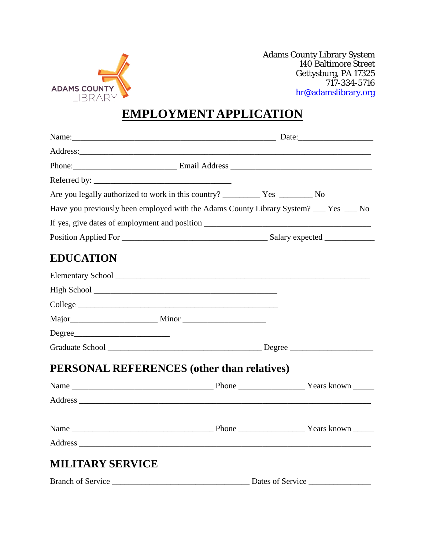

Adams County Library System 140 Baltimore Street Gettysburg, PA 17325 717-334-5716 [hr@adamslibrary.org](mailto:hr@adamslibrary.org)

## **EMPLOYMENT APPLICATION**

|                                                                                                                                                                                                                                |  | Name: 2008. [2016] Date: 2016. [2016] Date: 2016. [2016] Date: 2016. [2016] Date: 2016. [2016] Date: 2016. [20 |  |  |
|--------------------------------------------------------------------------------------------------------------------------------------------------------------------------------------------------------------------------------|--|----------------------------------------------------------------------------------------------------------------|--|--|
| Address: Analysis and the contract of the contract of the contract of the contract of the contract of the contract of the contract of the contract of the contract of the contract of the contract of the contract of the cont |  |                                                                                                                |  |  |
|                                                                                                                                                                                                                                |  |                                                                                                                |  |  |
| Referred by:                                                                                                                                                                                                                   |  |                                                                                                                |  |  |
|                                                                                                                                                                                                                                |  |                                                                                                                |  |  |
| Have you previously been employed with the Adams County Library System? ___ Yes __ No                                                                                                                                          |  |                                                                                                                |  |  |
|                                                                                                                                                                                                                                |  |                                                                                                                |  |  |
|                                                                                                                                                                                                                                |  |                                                                                                                |  |  |
| <b>EDUCATION</b>                                                                                                                                                                                                               |  |                                                                                                                |  |  |
|                                                                                                                                                                                                                                |  |                                                                                                                |  |  |
|                                                                                                                                                                                                                                |  |                                                                                                                |  |  |
|                                                                                                                                                                                                                                |  |                                                                                                                |  |  |
|                                                                                                                                                                                                                                |  |                                                                                                                |  |  |
| Degree                                                                                                                                                                                                                         |  |                                                                                                                |  |  |
|                                                                                                                                                                                                                                |  |                                                                                                                |  |  |
| <b>PERSONAL REFERENCES</b> (other than relatives)                                                                                                                                                                              |  |                                                                                                                |  |  |
|                                                                                                                                                                                                                                |  |                                                                                                                |  |  |
|                                                                                                                                                                                                                                |  |                                                                                                                |  |  |
|                                                                                                                                                                                                                                |  |                                                                                                                |  |  |
|                                                                                                                                                                                                                                |  |                                                                                                                |  |  |
| <b>MILITARY SERVICE</b>                                                                                                                                                                                                        |  |                                                                                                                |  |  |
|                                                                                                                                                                                                                                |  |                                                                                                                |  |  |